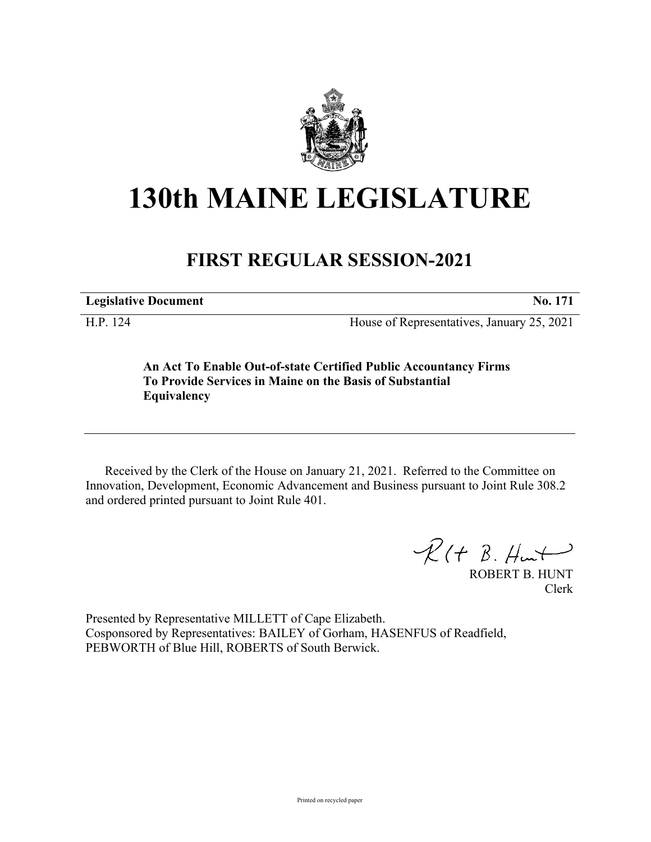

## **130th MAINE LEGISLATURE**

## **FIRST REGULAR SESSION-2021**

**Legislative Document No. 171**

H.P. 124 House of Representatives, January 25, 2021

**An Act To Enable Out-of-state Certified Public Accountancy Firms To Provide Services in Maine on the Basis of Substantial Equivalency**

Received by the Clerk of the House on January 21, 2021. Referred to the Committee on Innovation, Development, Economic Advancement and Business pursuant to Joint Rule 308.2 and ordered printed pursuant to Joint Rule 401.

 $R$ (†  $B.$  Hunt

ROBERT B. HUNT Clerk

Presented by Representative MILLETT of Cape Elizabeth. Cosponsored by Representatives: BAILEY of Gorham, HASENFUS of Readfield, PEBWORTH of Blue Hill, ROBERTS of South Berwick.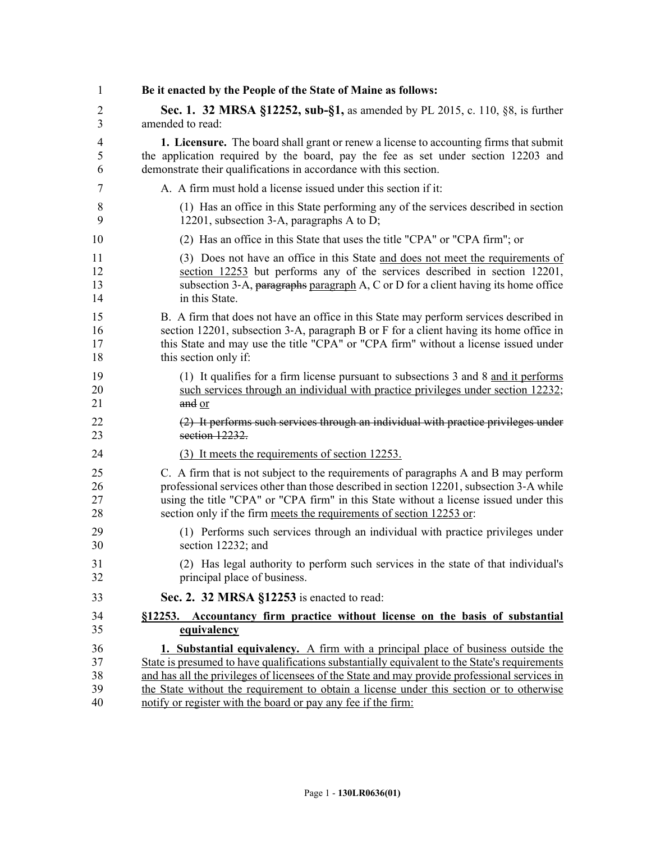| 1  | Be it enacted by the People of the State of Maine as follows:                                 |
|----|-----------------------------------------------------------------------------------------------|
| 2  | <b>Sec. 1. 32 MRSA §12252, sub-§1, as amended by PL 2015, c. 110, §8, is further</b>          |
| 3  | amended to read:                                                                              |
| 4  | <b>1. Licensure.</b> The board shall grant or renew a license to accounting firms that submit |
| 5  | the application required by the board, pay the fee as set under section 12203 and             |
| 6  | demonstrate their qualifications in accordance with this section.                             |
| 7  | A. A firm must hold a license issued under this section if it:                                |
| 8  | (1) Has an office in this State performing any of the services described in section           |
| 9  | 12201, subsection 3-A, paragraphs A to D;                                                     |
| 10 | (2) Has an office in this State that uses the title "CPA" or "CPA firm"; or                   |
| 11 | (3) Does not have an office in this State and does not meet the requirements of               |
| 12 | section 12253 but performs any of the services described in section 12201,                    |
| 13 | subsection 3-A, paragraphs paragraph A, C or D for a client having its home office            |
| 14 | in this State.                                                                                |
| 15 | B. A firm that does not have an office in this State may perform services described in        |
| 16 | section 12201, subsection 3-A, paragraph B or F for a client having its home office in        |
| 17 | this State and may use the title "CPA" or "CPA firm" without a license issued under           |
| 18 | this section only if:                                                                         |
| 19 | (1) It qualifies for a firm license pursuant to subsections 3 and 8 and it performs           |
| 20 | such services through an individual with practice privileges under section 12232;             |
| 21 | and or                                                                                        |
| 22 | (2) It performs such services through an individual with practice privileges under            |
| 23 | section 12232.                                                                                |
| 24 | (3) It meets the requirements of section 12253.                                               |
| 25 | C. A firm that is not subject to the requirements of paragraphs A and B may perform           |
| 26 | professional services other than those described in section 12201, subsection 3-A while       |
| 27 | using the title "CPA" or "CPA firm" in this State without a license issued under this         |
| 28 | section only if the firm meets the requirements of section 12253 or:                          |
| 29 | (1) Performs such services through an individual with practice privileges under               |
| 30 | section 12232; and                                                                            |
| 31 | (2) Has legal authority to perform such services in the state of that individual's            |
| 32 | principal place of business.                                                                  |
| 33 | Sec. 2. 32 MRSA §12253 is enacted to read:                                                    |
| 34 | §12253. Accountancy firm practice without license on the basis of substantial                 |
| 35 | equivalency                                                                                   |
| 36 | <b>1. Substantial equivalency.</b> A firm with a principal place of business outside the      |
| 37 | State is presumed to have qualifications substantially equivalent to the State's requirements |
| 38 | and has all the privileges of licensees of the State and may provide professional services in |
| 39 | the State without the requirement to obtain a license under this section or to otherwise      |
| 40 | notify or register with the board or pay any fee if the firm:                                 |